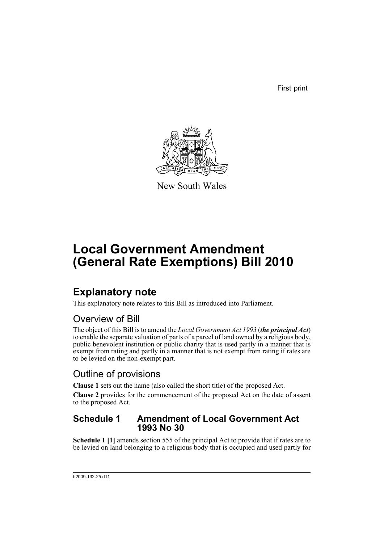First print



New South Wales

# **Local Government Amendment (General Rate Exemptions) Bill 2010**

## **Explanatory note**

This explanatory note relates to this Bill as introduced into Parliament.

## Overview of Bill

The object of this Bill is to amend the *Local Government Act 1993* (*the principal Act*) to enable the separate valuation of parts of a parcel of land owned by a religious body, public benevolent institution or public charity that is used partly in a manner that is exempt from rating and partly in a manner that is not exempt from rating if rates are to be levied on the non-exempt part.

## Outline of provisions

**Clause 1** sets out the name (also called the short title) of the proposed Act.

**Clause 2** provides for the commencement of the proposed Act on the date of assent to the proposed Act.

### **Schedule 1 Amendment of Local Government Act 1993 No 30**

**Schedule 1 [1]** amends section 555 of the principal Act to provide that if rates are to be levied on land belonging to a religious body that is occupied and used partly for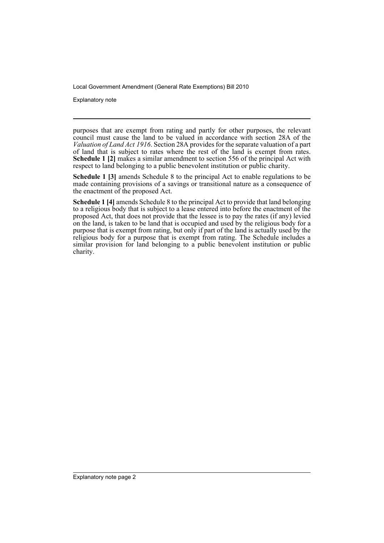Explanatory note

purposes that are exempt from rating and partly for other purposes, the relevant council must cause the land to be valued in accordance with section 28A of the *Valuation of Land Act 1916*. Section 28A provides for the separate valuation of a part of land that is subject to rates where the rest of the land is exempt from rates. **Schedule 1 [2]** makes a similar amendment to section 556 of the principal Act with respect to land belonging to a public benevolent institution or public charity.

**Schedule 1 [3]** amends Schedule 8 to the principal Act to enable regulations to be made containing provisions of a savings or transitional nature as a consequence of the enactment of the proposed Act.

**Schedule 1 [4]** amends Schedule 8 to the principal Act to provide that land belonging to a religious body that is subject to a lease entered into before the enactment of the proposed Act, that does not provide that the lessee is to pay the rates (if any) levied on the land, is taken to be land that is occupied and used by the religious body for a purpose that is exempt from rating, but only if part of the land is actually used by the religious body for a purpose that is exempt from rating. The Schedule includes a similar provision for land belonging to a public benevolent institution or public charity.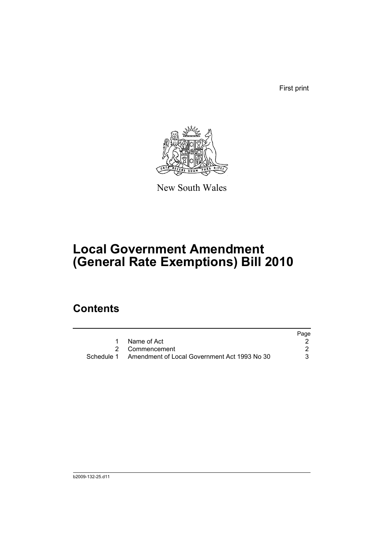First print



New South Wales

# **Local Government Amendment (General Rate Exemptions) Bill 2010**

## **Contents**

|                                                         | Page |
|---------------------------------------------------------|------|
| Name of Act                                             |      |
| 2 Commencement                                          |      |
| Schedule 1 Amendment of Local Government Act 1993 No 30 |      |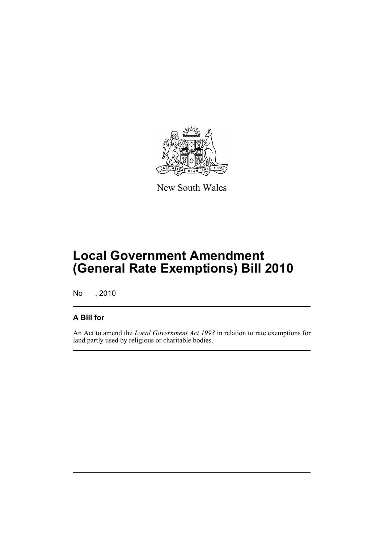

New South Wales

# **Local Government Amendment (General Rate Exemptions) Bill 2010**

No , 2010

### **A Bill for**

An Act to amend the *Local Government Act 1993* in relation to rate exemptions for land partly used by religious or charitable bodies.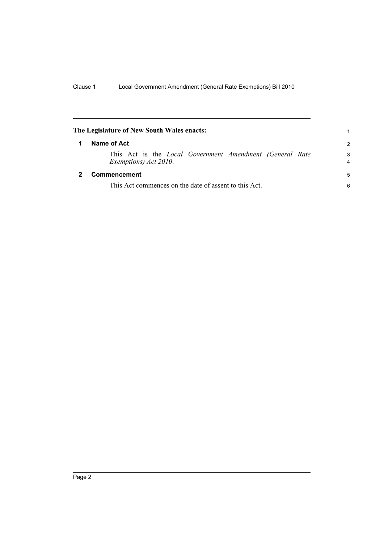<span id="page-5-1"></span><span id="page-5-0"></span>

| The Legislature of New South Wales enacts: |                                                                                          |               |
|--------------------------------------------|------------------------------------------------------------------------------------------|---------------|
|                                            | Name of Act                                                                              | $\mathcal{P}$ |
|                                            | This Act is the <i>Local Government Amendment (General Rate</i><br>Exemptions) Act 2010. | 3<br>4        |
|                                            | Commencement                                                                             | 5             |
|                                            | This Act commences on the date of assent to this Act.                                    | 6             |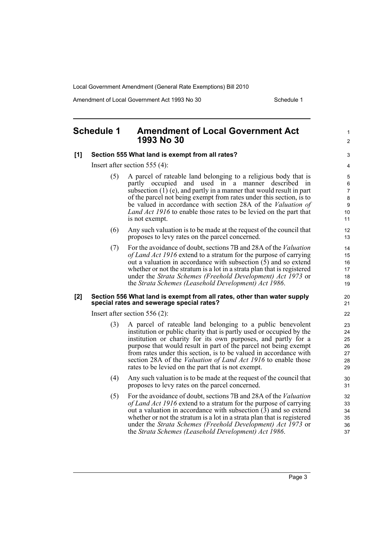Amendment of Local Government Act 1993 No 30 Schedule 1

1  $\mathfrak{p}$ 

### <span id="page-6-0"></span>**Schedule 1 Amendment of Local Government Act 1993 No 30**

### **[1] Section 555 What land is exempt from all rates?**

Insert after section 555 (4):

- (5) A parcel of rateable land belonging to a religious body that is partly occupied and used in a manner described in subsection  $(1)$  (e), and partly in a manner that would result in part of the parcel not being exempt from rates under this section, is to be valued in accordance with section 28A of the *Valuation of Land Act 1916* to enable those rates to be levied on the part that is not exempt.
- (6) Any such valuation is to be made at the request of the council that proposes to levy rates on the parcel concerned.
- (7) For the avoidance of doubt, sections 7B and 28A of the *Valuation of Land Act 1916* extend to a stratum for the purpose of carrying out a valuation in accordance with subsection (5) and so extend whether or not the stratum is a lot in a strata plan that is registered under the *Strata Schemes (Freehold Development) Act 1973* or the *Strata Schemes (Leasehold Development) Act 1986*.

#### **[2] Section 556 What land is exempt from all rates, other than water supply special rates and sewerage special rates?**

Insert after section 556 (2):

- (3) A parcel of rateable land belonging to a public benevolent institution or public charity that is partly used or occupied by the institution or charity for its own purposes, and partly for a purpose that would result in part of the parcel not being exempt from rates under this section, is to be valued in accordance with section 28A of the *Valuation of Land Act 1916* to enable those rates to be levied on the part that is not exempt.
- (4) Any such valuation is to be made at the request of the council that proposes to levy rates on the parcel concerned.
- (5) For the avoidance of doubt, sections 7B and 28A of the *Valuation of Land Act 1916* extend to a stratum for the purpose of carrying out a valuation in accordance with subsection (3) and so extend whether or not the stratum is a lot in a strata plan that is registered under the *Strata Schemes (Freehold Development) Act 1973* or the *Strata Schemes (Leasehold Development) Act 1986*.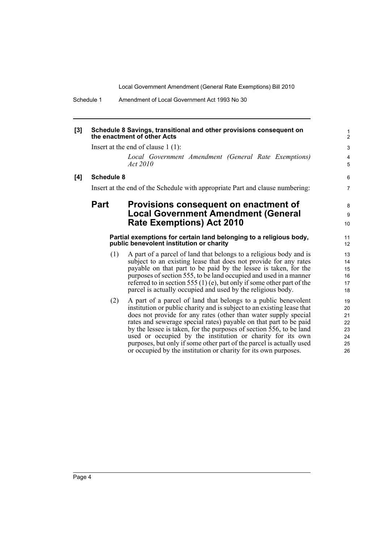Schedule 1 Amendment of Local Government Act 1993 No 30

#### **[3] Schedule 8 Savings, transitional and other provisions consequent on the enactment of other Acts**

Insert at the end of clause 1 (1):

*Local Government Amendment (General Rate Exemptions) Act 2010*

#### **[4] Schedule 8**

Insert at the end of the Schedule with appropriate Part and clause numbering:

### **Part Provisions consequent on enactment of Local Government Amendment (General Rate Exemptions) Act 2010**

#### **Partial exemptions for certain land belonging to a religious body, public benevolent institution or charity**

- (1) A part of a parcel of land that belongs to a religious body and is subject to an existing lease that does not provide for any rates payable on that part to be paid by the lessee is taken, for the purposes of section 555, to be land occupied and used in a manner referred to in section 555 (1) (e), but only if some other part of the parcel is actually occupied and used by the religious body.
- (2) A part of a parcel of land that belongs to a public benevolent institution or public charity and is subject to an existing lease that does not provide for any rates (other than water supply special rates and sewerage special rates) payable on that part to be paid by the lessee is taken, for the purposes of section 556, to be land used or occupied by the institution or charity for its own purposes, but only if some other part of the parcel is actually used or occupied by the institution or charity for its own purposes.

6 7

8 9 10